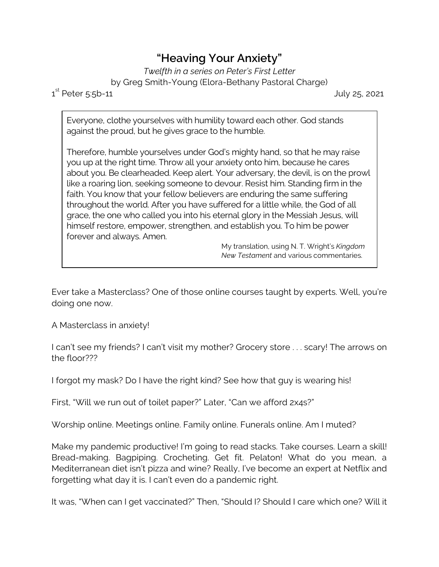## **"Heaving Your Anxiety"**

*Twelfth in a series on Peter's First Letter* by Greg Smith-Young (Elora-Bethany Pastoral Charge)

 $1^{\text{st}}$ 

July 25, 2021

Everyone, clothe yourselves with humility toward each other. God stands against the proud, but he gives grace to the humble.

Therefore, humble yourselves under God's mighty hand, so that he may raise you up at the right time. Throw all your anxiety onto him, because he cares about you. Be clearheaded. Keep alert. Your adversary, the devil, is on the prowl like a roaring lion, seeking someone to devour. Resist him. Standing firm in the faith. You know that your fellow believers are enduring the same suffering throughout the world. After you have suffered for a little while, the God of all grace, the one who called you into his eternal glory in the Messiah Jesus, will himself restore, empower, strengthen, and establish you. To him be power forever and always. Amen.

My translation, using N. T. Wright's *Kingdom New Testament* and various commentaries.

Ever take a Masterclass? One of those online courses taught by experts. Well, you're doing one now.

A Masterclass in anxiety!

I can't see my friends? I can't visit my mother? Grocery store . . . scary! The arrows on the floor???

I forgot my mask? Do I have the right kind? See how that guy is wearing his!

First, "Will we run out of toilet paper?" Later, "Can we afford 2x4s?"

Worship online. Meetings online. Family online. Funerals online. Am I muted?

Make my pandemic productive! I'm going to read stacks. Take courses. Learn a skill! Bread-making. Bagpiping. Crocheting. Get fit. Pelaton! What do you mean, a Mediterranean diet isn't pizza and wine? Really, I've become an expert at Netflix and forgetting what day it is. I can't even do a pandemic right.

It was, "When can I get vaccinated?" Then, "Should I? Should I care which one? Will it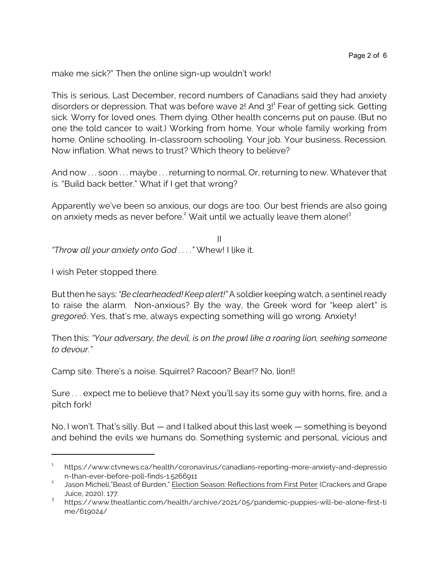make me sick?" Then the online sign-up wouldn't work!

This is serious. Last December, record numbers of Canadians said they had anxiety disorders or depression. That was before wave 2! And 3!<sup>1</sup> Fear of getting sick. Getting sick. Worry for loved ones. Them dying. Other health concerns put on pause. (But no one the told cancer to wait.) Working from home. Your whole family working from home. Online schooling. In-classroom schooling. Your job. Your business. Recession. Now inflation. What news to trust? Which theory to believe?

And now . . . soon . . . maybe . . . returning to normal. Or, returning to new. Whatever that is. "Build back better." What if I get that wrong?

Apparently we've been so anxious, our dogs are too. Our best friends are also going on anxiety meds as never before.<sup>2</sup> Wait until we actually leave them alone!<sup>3</sup>

II *"Throw all your anxiety onto God . . . ."* Whew! I like it.

I wish Peter stopped there.

But then he says: *"Be clearheaded! Keep alert!"* A soldier keeping watch, a sentinel ready to raise the alarm. Non-anxious? By the way, the Greek word for "keep alert" is *gregoreô*. Yes, that's me, always expecting something will go wrong. Anxiety!

Then this: *"Your adversary, the devil, is on the prowl like a roaring lion, seeking someone to devour."*

Camp site. There's a noise. Squirrel? Racoon? Bear!? No, lion!!

Sure . . . expect me to believe that? Next you'll say its some guy with horns, fire, and a pitch fork!

No, I won't. That's silly. But — and I talked about this last week — something is beyond and behind the evils we humans do. Something systemic and personal, vicious and

<sup>1</sup> https://www.ctvnews.ca/health/coronavirus/canadians-reporting-more-anxiety-and-depressio n-than-ever-before-poll-finds-1.5266911

<sup>2</sup> Jason Micheli,"Beast of Burden," Election Season: Reflections from First Peter (Crackers and Grape Juice, 2020), 177.

<sup>&</sup>lt;sup>3</sup> https://www.theatlantic.com/health/archive/2021/05/pandemic-puppies-will-be-alone-first-ti me/619024/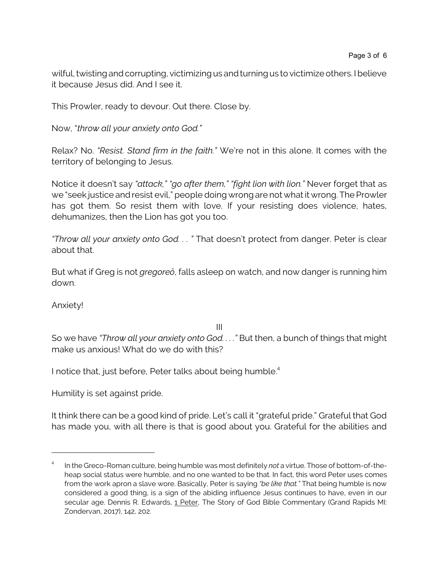wilful, twisting and corrupting, victimizing us and turning us to victimize others. I believe it because Jesus did. And I see it.

This Prowler, ready to devour. Out there. Close by.

Now, "*throw all your anxiety onto God."*

Relax? No. *"Resist. Stand firm in the faith."* We're not in this alone. It comes with the territory of belonging to Jesus.

Notice it doesn't say *"attack," "go after them," "fight lion with lion."* Never forget that as we "seek justice and resist evil," people doing wrong are not what it wrong. The Prowler has got them. So resist them with love. If your resisting does violence, hates, dehumanizes, then the Lion has got you too.

*"Throw all your anxiety onto God. . . "* That doesn't protect from danger. Peter is clear about that.

But what if Greg is not *gregoreô*, falls asleep on watch, and now danger is running him down.

Anxiety!

III

So we have *"Throw all your anxiety onto God. . . ."* But then, a bunch of things that might make us anxious! What do we do with this?

I notice that, just before, Peter talks about being humble.<sup>4</sup>

Humility is set against pride.

It think there can be a good kind of pride. Let's call it "grateful pride." Grateful that God has made you, with all there is that is good about you. Grateful for the abilities and

<sup>4</sup> In the Greco-Roman culture, being humble was most definitely *not* a virtue. Those of bottom-of-theheap social status were humble, and no one wanted to be that. In fact, this word Peter uses comes from the work apron a slave wore. Basically, Peter is saying *"be like that."* That being humble is now considered a good thing, is a sign of the abiding influence Jesus continues to have, even in our secular age. Dennis R. Edwards, 1 Peter, The Story of God Bible Commentary (Grand Rapids MI: Zondervan, 2017), 142, 202.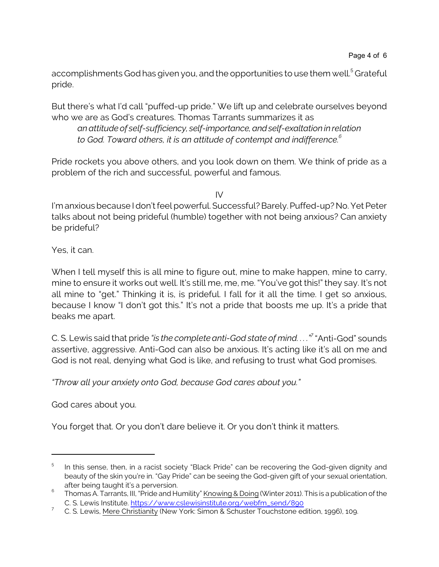accomplishments God has given you, and the opportunities to use them well.<sup>5</sup> Grateful pride.

But there's what I'd call "puffed-up pride." We lift up and celebrate ourselves beyond who we are as God's creatures. Thomas Tarrants summarizes it as

*an attitude of self-sufficiency, self-importance,andself-exaltation in relation to God. Toward others, it is an attitude of contempt and indifference.<sup>6</sup>*

Pride rockets you above others, and you look down on them. We think of pride as a problem of the rich and successful, powerful and famous.

 $IV$ 

I'm anxious because I don't feel powerful. Successful? Barely. Puffed-up? No. Yet Peter talks about not being prideful (humble) together with not being anxious? Can anxiety be prideful?

Yes, it can.

When I tell myself this is all mine to figure out, mine to make happen, mine to carry, mine to ensure it works out well. It's still me, me, me. "You've got this!" they say. It's not all mine to "get." Thinking it is, is prideful. I fall for it all the time. I get so anxious, because I know "I don't got this." It's not a pride that boosts me up. It's a pride that beaks me apart.

C. S. Lewis said that pride *"is the complete anti-God state of mind. . . ."<sup>7</sup>* "Anti-God" sounds assertive, aggressive. Anti-God can also be anxious. It's acting like it's all on me and God is not real, denying what God is like, and refusing to trust what God promises.

*"Throw all your anxiety onto God, because God cares about you."* 

God cares about you.

You forget that. Or you don't dare believe it. Or you don't think it matters.

<sup>5</sup> In this sense, then, in a racist society "Black Pride" can be recovering the God-given dignity and beauty of the skin you're in. "Gay Pride" can be seeing the God-given gift of your sexual orientation, after being taught it's a perversion.

 $^6$  Thomas A. Tarrants, III, "Pride and Humility" Knowing & Doing (Winter 2011). This is a publication of the C. S. Lewis Institute. [https://www.cslewisinstitute.org/webfm\\_send/890](https://www.cslewisinstitute.org/webfm_send/890)

<sup>&</sup>lt;sup>7</sup> C. S. Lewis, Mere Christianity (New York: Simon & Schuster Touchstone edition, 1996), 109.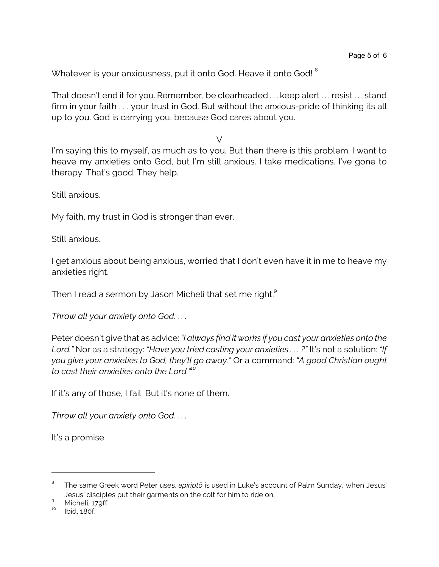Whatever is your anxiousness, put it onto God. Heave it onto God! <sup>8</sup>

That doesn't end it for you. Remember, be clearheaded . . . keep alert . . . resist . . . stand firm in your faith . . . your trust in God. But without the anxious-pride of thinking its all up to you. God is carrying you, because God cares about you.

 $\vee$ 

I'm saying this to myself, as much as to you. But then there is this problem. I want to heave my anxieties onto God, but I'm still anxious. I take medications. I've gone to therapy. That's good. They help.

Still anxious.

My faith, my trust in God is stronger than ever.

Still anxious.

I get anxious about being anxious, worried that I don't even have it in me to heave my anxieties right.

Then I read a sermon by Jason Micheli that set me right. $^{\rm 9}$ 

*Throw all your anxiety onto God. . . .* 

Peter doesn't give that as advice: *"I always find it works if you cast your anxieties onto the Lord."* Nor as a strategy: *"Have you tried casting your anxieties . . . ?"* It's not a solution: *"If you give your anxieties to God, they'll go away."* Or a command: *"A good Christian ought to cast their anxieties onto the Lord."<sup>10</sup>*

If it's any of those, I fail. But it's none of them.

*Throw all your anxiety onto God. . . .* 

It's a promise.

<sup>8</sup> The same Greek word Peter uses, *epiriptô* is used in Luke's account of Palm Sunday, when Jesus' Jesus' disciples put their garments on the colt for him to ride on.

 $^{9}$  Micheli, 179ff.

<sup>10</sup> Ibid, 180f.